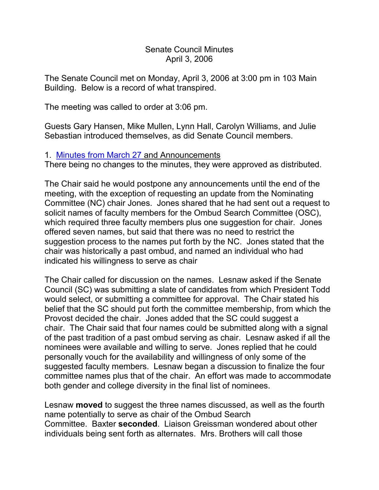#### Senate Council Minutes April 3, 2006

The Senate Council met on Monday, April 3, 2006 at 3:00 pm in 103 Main Building. Below is a record of what transpired.

The meeting was called to order at 3:06 pm.

Guests Gary Hansen, Mike Mullen, Lynn Hall, Carolyn Williams, and Julie Sebastian introduced themselves, as did Senate Council members.

## 1. [Minutes from March 27](http://www.uky.edu/USC/New/SCMinutes/2005-2006/SC%20Minutes%20March%2027%202006%20FINAL.htm) and Announcements

There being no changes to the minutes, they were approved as distributed.

The Chair said he would postpone any announcements until the end of the meeting, with the exception of requesting an update from the Nominating Committee (NC) chair Jones. Jones shared that he had sent out a request to solicit names of faculty members for the Ombud Search Committee (OSC), which required three faculty members plus one suggestion for chair. Jones offered seven names, but said that there was no need to restrict the suggestion process to the names put forth by the NC. Jones stated that the chair was historically a past ombud, and named an individual who had indicated his willingness to serve as chair

The Chair called for discussion on the names. Lesnaw asked if the Senate Council (SC) was submitting a slate of candidates from which President Todd would select, or submitting a committee for approval. The Chair stated his belief that the SC should put forth the committee membership, from which the Provost decided the chair. Jones added that the SC could suggest a chair. The Chair said that four names could be submitted along with a signal of the past tradition of a past ombud serving as chair. Lesnaw asked if all the nominees were available and willing to serve. Jones replied that he could personally vouch for the availability and willingness of only some of the suggested faculty members. Lesnaw began a discussion to finalize the four committee names plus that of the chair. An effort was made to accommodate both gender and college diversity in the final list of nominees.

Lesnaw **moved** to suggest the three names discussed, as well as the fourth name potentially to serve as chair of the Ombud Search Committee. Baxter **seconded**. Liaison Greissman wondered about other individuals being sent forth as alternates. Mrs. Brothers will call those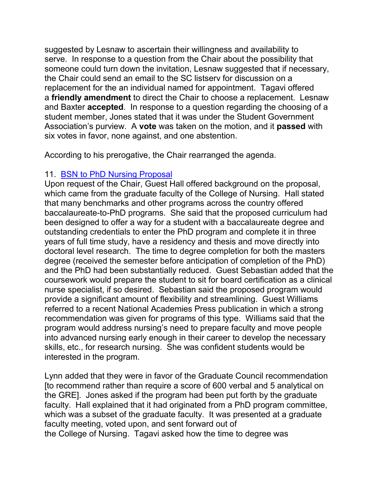suggested by Lesnaw to ascertain their willingness and availability to serve. In response to a question from the Chair about the possibility that someone could turn down the invitation, Lesnaw suggested that if necessary, the Chair could send an email to the SC listserv for discussion on a replacement for the an individual named for appointment. Tagavi offered a **friendly amendment** to direct the Chair to choose a replacement. Lesnaw and Baxter **accepted**. In response to a question regarding the choosing of a student member, Jones stated that it was under the Student Government Association's purview. A **vote** was taken on the motion, and it **passed** with six votes in favor, none against, and one abstention.

According to his prerogative, the Chair rearranged the agenda.

## 11. [BSN to PhD Nursing Proposal](http://www.uky.edu/USC/New/SCAgendas/20060403/Nursing%20Doctoral%20Prgm%20Change%20Complete_SC.pdf)

Upon request of the Chair, Guest Hall offered background on the proposal, which came from the graduate faculty of the College of Nursing. Hall stated that many benchmarks and other programs across the country offered baccalaureate-to-PhD programs. She said that the proposed curriculum had been designed to offer a way for a student with a baccalaureate degree and outstanding credentials to enter the PhD program and complete it in three years of full time study, have a residency and thesis and move directly into doctoral level research. The time to degree completion for both the masters degree (received the semester before anticipation of completion of the PhD) and the PhD had been substantially reduced. Guest Sebastian added that the coursework would prepare the student to sit for board certification as a clinical nurse specialist, if so desired. Sebastian said the proposed program would provide a significant amount of flexibility and streamlining. Guest Williams referred to a recent National Academies Press publication in which a strong recommendation was given for programs of this type. Williams said that the program would address nursing's need to prepare faculty and move people into advanced nursing early enough in their career to develop the necessary skills, etc., for research nursing. She was confident students would be interested in the program.

Lynn added that they were in favor of the Graduate Council recommendation [to recommend rather than require a score of 600 verbal and 5 analytical on the GRE]. Jones asked if the program had been put forth by the graduate faculty. Hall explained that it had originated from a PhD program committee, which was a subset of the graduate faculty. It was presented at a graduate faculty meeting, voted upon, and sent forward out of the College of Nursing. Tagavi asked how the time to degree was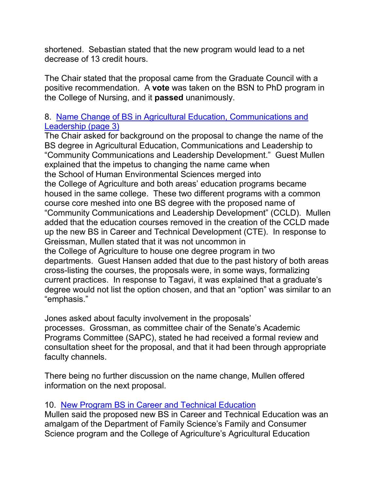shortened. Sebastian stated that the new program would lead to a net decrease of 13 credit hours.

The Chair stated that the proposal came from the Graduate Council with a positive recommendation. A **vote** was taken on the BSN to PhD program in the College of Nursing, and it **passed** unanimously.

## 8. [Name Change of BS in Agricultural Education, Communications and](http://www.uky.edu/USC/New/SCAgendas/20060403/BS%20Agricultural%20Education,%20Communications,%20and%20Leadership%20Program%20Change_SC.pdf)  [Leadership \(page 3\)](http://www.uky.edu/USC/New/SCAgendas/20060403/BS%20Agricultural%20Education,%20Communications,%20and%20Leadership%20Program%20Change_SC.pdf)

The Chair asked for background on the proposal to change the name of the BS degree in Agricultural Education, Communications and Leadership to "Community Communications and Leadership Development." Guest Mullen explained that the impetus to changing the name came when the School of Human Environmental Sciences merged into the College of Agriculture and both areas' education programs became housed in the same college. These two different programs with a common course core meshed into one BS degree with the proposed name of "Community Communications and Leadership Development" (CCLD). Mullen added that the education courses removed in the creation of the CCLD made up the new BS in Career and Technical Development (CTE). In response to Greissman, Mullen stated that it was not uncommon in the College of Agriculture to house one degree program in two departments. Guest Hansen added that due to the past history of both areas cross-listing the courses, the proposals were, in some ways, formalizing current practices. In response to Tagavi, it was explained that a graduate's degree would not list the option chosen, and that an "option" was similar to an "emphasis."

Jones asked about faculty involvement in the proposals' processes. Grossman, as committee chair of the Senate's Academic Programs Committee (SAPC), stated he had received a formal review and consultation sheet for the proposal, and that it had been through appropriate faculty channels.

There being no further discussion on the name change, Mullen offered information on the next proposal.

# 10. [New Program BS in Career and Technical Education](http://www.uky.edu/USC/New/SCAgendas/20060403/CTE%20Curriculum_11-30-05_SC.pdf)

Mullen said the proposed new BS in Career and Technical Education was an amalgam of the Department of Family Science's Family and Consumer Science program and the College of Agriculture's Agricultural Education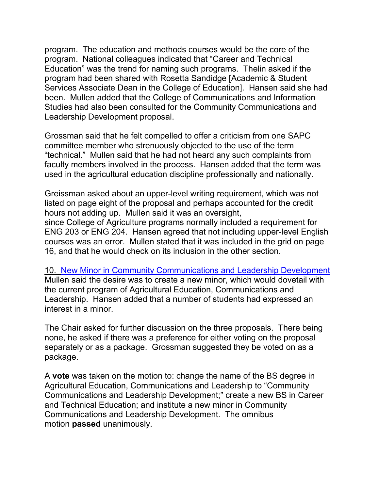program. The education and methods courses would be the core of the program. National colleagues indicated that "Career and Technical Education" was the trend for naming such programs. Thelin asked if the program had been shared with Rosetta Sandidge [Academic & Student Services Associate Dean in the College of Education]. Hansen said she had been. Mullen added that the College of Communications and Information Studies had also been consulted for the Community Communications and Leadership Development proposal.

Grossman said that he felt compelled to offer a criticism from one SAPC committee member who strenuously objected to the use of the term "technical." Mullen said that he had not heard any such complaints from faculty members involved in the process. Hansen added that the term was used in the agricultural education discipline professionally and nationally.

Greissman asked about an upper-level writing requirement, which was not listed on page eight of the proposal and perhaps accounted for the credit hours not adding up. Mullen said it was an oversight, since College of Agriculture programs normally included a requirement for ENG 203 or ENG 204. Hansen agreed that not including upper-level English courses was an error. Mullen stated that it was included in the grid on page 16, and that he would check on its inclusion in the other section.

10. [New Minor in Community Communications and Leadership Development](http://www.uky.edu/USC/New/SCAgendas/20060403/New%20Minor-Community%20Communications%20and%20Leadership%20Development_SC.pdf) Mullen said the desire was to create a new minor, which would dovetail with the current program of Agricultural Education, Communications and Leadership. Hansen added that a number of students had expressed an interest in a minor.

The Chair asked for further discussion on the three proposals. There being none, he asked if there was a preference for either voting on the proposal separately or as a package. Grossman suggested they be voted on as a package.

A **vote** was taken on the motion to: change the name of the BS degree in Agricultural Education, Communications and Leadership to "Community Communications and Leadership Development;" create a new BS in Career and Technical Education; and institute a new minor in Community Communications and Leadership Development. The omnibus motion **passed** unanimously.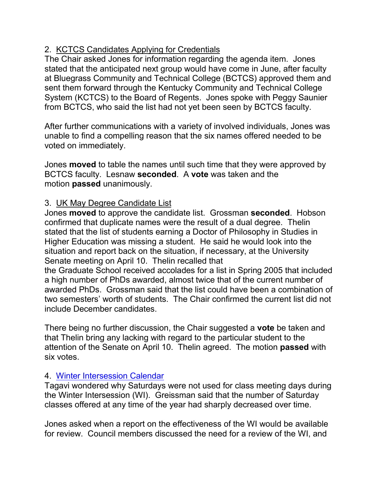# 2. KCTCS Candidates Applying for Credentials

The Chair asked Jones for information regarding the agenda item. Jones stated that the anticipated next group would have come in June, after faculty at Bluegrass Community and Technical College (BCTCS) approved them and sent them forward through the Kentucky Community and Technical College System (KCTCS) to the Board of Regents. Jones spoke with Peggy Saunier from BCTCS, who said the list had not yet been seen by BCTCS faculty.

After further communications with a variety of involved individuals, Jones was unable to find a compelling reason that the six names offered needed to be voted on immediately.

Jones **moved** to table the names until such time that they were approved by BCTCS faculty. Lesnaw **seconded**. A **vote** was taken and the motion **passed** unanimously.

# 3. UK May Degree Candidate List

Jones **moved** to approve the candidate list. Grossman **seconded**. Hobson confirmed that duplicate names were the result of a dual degree. Thelin stated that the list of students earning a Doctor of Philosophy in Studies in Higher Education was missing a student. He said he would look into the situation and report back on the situation, if necessary, at the University Senate meeting on April 10. Thelin recalled that

the Graduate School received accolades for a list in Spring 2005 that included a high number of PhDs awarded, almost twice that of the current number of awarded PhDs. Grossman said that the list could have been a combination of two semesters' worth of students. The Chair confirmed the current list did not include December candidates.

There being no further discussion, the Chair suggested a **vote** be taken and that Thelin bring any lacking with regard to the particular student to the attention of the Senate on April 10. Thelin agreed. The motion **passed** with six votes.

# 4. [Winter Intersession Calendar](http://www.uky.edu/USC/New/SCAgendas/20060403/Winter%20Intersession%20calendar_revised_SC.pdf)

Tagavi wondered why Saturdays were not used for class meeting days during the Winter Intersession (WI). Greissman said that the number of Saturday classes offered at any time of the year had sharply decreased over time.

Jones asked when a report on the effectiveness of the WI would be available for review. Council members discussed the need for a review of the WI, and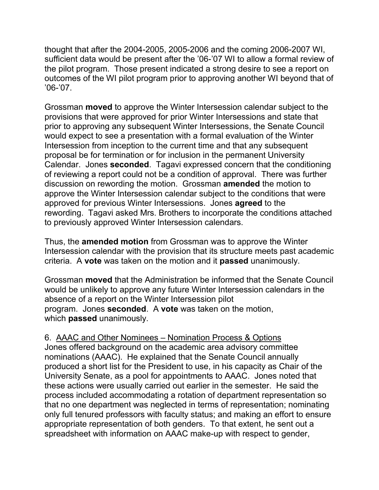thought that after the 2004-2005, 2005-2006 and the coming 2006-2007 WI, sufficient data would be present after the '06-'07 WI to allow a formal review of the pilot program. Those present indicated a strong desire to see a report on outcomes of the WI pilot program prior to approving another WI beyond that of '06-'07.

Grossman **moved** to approve the Winter Intersession calendar subject to the provisions that were approved for prior Winter Intersessions and state that prior to approving any subsequent Winter Intersessions, the Senate Council would expect to see a presentation with a formal evaluation of the Winter Intersession from inception to the current time and that any subsequent proposal be for termination or for inclusion in the permanent University Calendar. Jones **seconded**. Tagavi expressed concern that the conditioning of reviewing a report could not be a condition of approval. There was further discussion on rewording the motion. Grossman **amended** the motion to approve the Winter Intersession calendar subject to the conditions that were approved for previous Winter Intersessions. Jones **agreed** to the rewording. Tagavi asked Mrs. Brothers to incorporate the conditions attached to previously approved Winter Intersession calendars.

Thus, the **amended motion** from Grossman was to approve the Winter Intersession calendar with the provision that its structure meets past academic criteria. A **vote** was taken on the motion and it **passed** unanimously.

Grossman **moved** that the Administration be informed that the Senate Council would be unlikely to approve any future Winter Intersession calendars in the absence of a report on the Winter Intersession pilot program. Jones **seconded**. A **vote** was taken on the motion, which **passed** unanimously.

# 6. AAAC and Other Nominees – Nomination Process & Options

Jones offered background on the academic area advisory committee nominations (AAAC). He explained that the Senate Council annually produced a short list for the President to use, in his capacity as Chair of the University Senate, as a pool for appointments to AAAC. Jones noted that these actions were usually carried out earlier in the semester. He said the process included accommodating a rotation of department representation so that no one department was neglected in terms of representation; nominating only full tenured professors with faculty status; and making an effort to ensure appropriate representation of both genders. To that extent, he sent out a spreadsheet with information on AAAC make-up with respect to gender,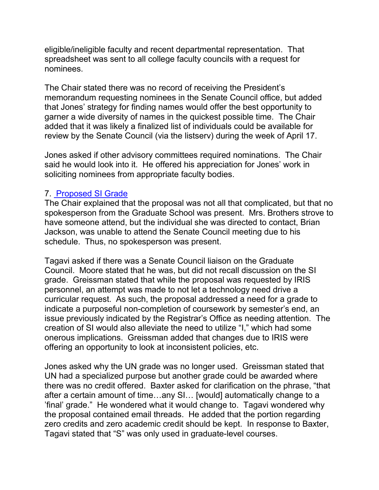eligible/ineligible faculty and recent departmental representation. That spreadsheet was sent to all college faculty councils with a request for nominees.

The Chair stated there was no record of receiving the President's memorandum requesting nominees in the Senate Council office, but added that Jones' strategy for finding names would offer the best opportunity to garner a wide diversity of names in the quickest possible time. The Chair added that it was likely a finalized list of individuals could be available for review by the Senate Council (via the listserv) during the week of April 17.

Jones asked if other advisory committees required nominations. The Chair said he would look into it. He offered his appreciation for Jones' work in soliciting nominees from appropriate faculty bodies.

## 7. [Proposed SI Grade](http://www.uky.edu/USC/New/SCAgendas/20060403/SI%20GradSchl.pdf)

The Chair explained that the proposal was not all that complicated, but that no spokesperson from the Graduate School was present. Mrs. Brothers strove to have someone attend, but the individual she was directed to contact, Brian Jackson, was unable to attend the Senate Council meeting due to his schedule. Thus, no spokesperson was present.

Tagavi asked if there was a Senate Council liaison on the Graduate Council. Moore stated that he was, but did not recall discussion on the SI grade. Greissman stated that while the proposal was requested by IRIS personnel, an attempt was made to not let a technology need drive a curricular request. As such, the proposal addressed a need for a grade to indicate a purposeful non-completion of coursework by semester's end, an issue previously indicated by the Registrar's Office as needing attention. The creation of SI would also alleviate the need to utilize "I," which had some onerous implications. Greissman added that changes due to IRIS were offering an opportunity to look at inconsistent policies, etc.

Jones asked why the UN grade was no longer used. Greissman stated that UN had a specialized purpose but another grade could be awarded where there was no credit offered. Baxter asked for clarification on the phrase, "that after a certain amount of time…any SI… [would] automatically change to a 'final' grade." He wondered what it would change to. Tagavi wondered why the proposal contained email threads. He added that the portion regarding zero credits and zero academic credit should be kept. In response to Baxter, Tagavi stated that "S" was only used in graduate-level courses.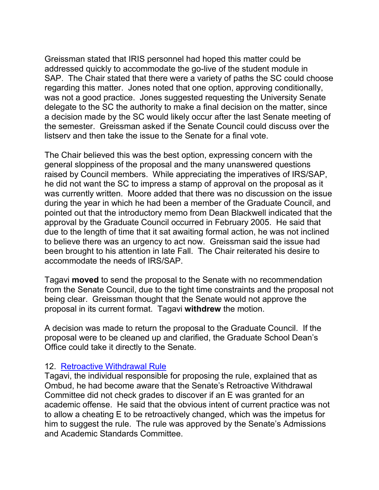Greissman stated that IRIS personnel had hoped this matter could be addressed quickly to accommodate the go-live of the student module in SAP. The Chair stated that there were a variety of paths the SC could choose regarding this matter. Jones noted that one option, approving conditionally, was not a good practice. Jones suggested requesting the University Senate delegate to the SC the authority to make a final decision on the matter, since a decision made by the SC would likely occur after the last Senate meeting of the semester. Greissman asked if the Senate Council could discuss over the listserv and then take the issue to the Senate for a final vote.

The Chair believed this was the best option, expressing concern with the general sloppiness of the proposal and the many unanswered questions raised by Council members. While appreciating the imperatives of IRS/SAP, he did not want the SC to impress a stamp of approval on the proposal as it was currently written. Moore added that there was no discussion on the issue during the year in which he had been a member of the Graduate Council, and pointed out that the introductory memo from Dean Blackwell indicated that the approval by the Graduate Council occurred in February 2005. He said that due to the length of time that it sat awaiting formal action, he was not inclined to believe there was an urgency to act now. Greissman said the issue had been brought to his attention in late Fall. The Chair reiterated his desire to accommodate the needs of IRS/SAP.

Tagavi **moved** to send the proposal to the Senate with no recommendation from the Senate Council, due to the tight time constraints and the proposal not being clear. Greissman thought that the Senate would not approve the proposal in its current format. Tagavi **withdrew** the motion.

A decision was made to return the proposal to the Graduate Council. If the proposal were to be cleaned up and clarified, the Graduate School Dean's Office could take it directly to the Senate.

#### 12. [Retroactive Withdrawal Rule](http://www.uky.edu/USC/New/SCAgendas/20060403/Retroactive%20Withdrawal%20Proposal_SC.pdf)

Tagavi, the individual responsible for proposing the rule, explained that as Ombud, he had become aware that the Senate's Retroactive Withdrawal Committee did not check grades to discover if an E was granted for an academic offense. He said that the obvious intent of current practice was not to allow a cheating E to be retroactively changed, which was the impetus for him to suggest the rule. The rule was approved by the Senate's Admissions and Academic Standards Committee.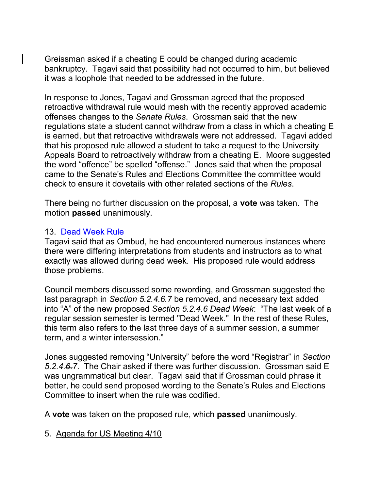Greissman asked if a cheating E could be changed during academic bankruptcy. Tagavi said that possibility had not occurred to him, but believed it was a loophole that needed to be addressed in the future.

In response to Jones, Tagavi and Grossman agreed that the proposed retroactive withdrawal rule would mesh with the recently approved academic offenses changes to the *Senate Rules*. Grossman said that the new regulations state a student cannot withdraw from a class in which a cheating E is earned, but that retroactive withdrawals were not addressed. Tagavi added that his proposed rule allowed a student to take a request to the University Appeals Board to retroactively withdraw from a cheating E. Moore suggested the word "offence" be spelled "offense." Jones said that when the proposal came to the Senate's Rules and Elections Committee the committee would check to ensure it dovetails with other related sections of the *Rules*.

There being no further discussion on the proposal, a **vote** was taken. The motion **passed** unanimously.

## 13. [Dead Week Rule](http://www.uky.edu/USC/New/SCAgendas/20060403/dead%20week%20wtih%20underline%20and%20strikethrough%20to%20SC4-3_SC.pdf)

Tagavi said that as Ombud, he had encountered numerous instances where there were differing interpretations from students and instructors as to what exactly was allowed during dead week. His proposed rule would address those problems.

Council members discussed some rewording, and Grossman suggested the last paragraph in *Section 5.2.4.6.7* be removed, and necessary text added into "A" of the new proposed *Section 5.2.4.6 Dead Week*: "The last week of a regular session semester is termed "Dead Week." In the rest of these Rules, this term also refers to the last three days of a summer session, a summer term, and a winter intersession."

Jones suggested removing "University" before the word "Registrar" in *Section 5.2.4.6.7*. The Chair asked if there was further discussion. Grossman said E was ungrammatical but clear. Tagavi said that if Grossman could phrase it better, he could send proposed wording to the Senate's Rules and Elections Committee to insert when the rule was codified.

A **vote** was taken on the proposed rule, which **passed** unanimously.

5. Agenda for US Meeting 4/10